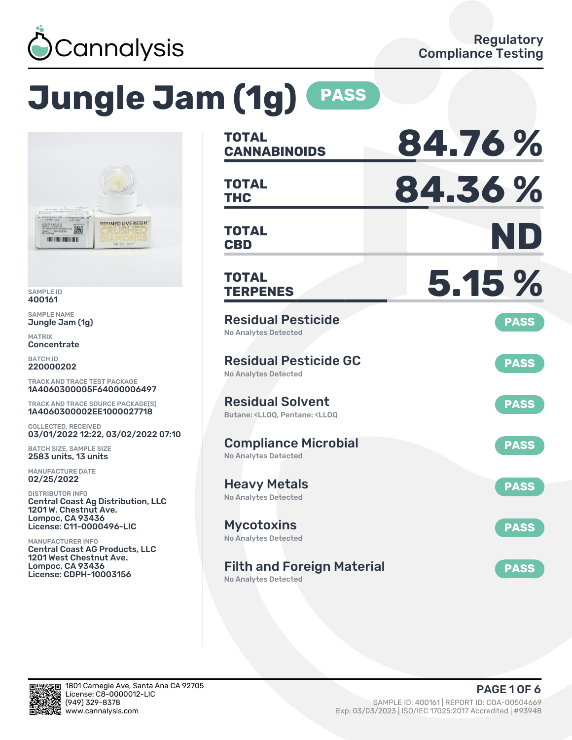

# **Jungle Jam (1g) PASS**



SAMPLE ID 400161

SAMPLE NAME Jungle Jam (1g)

MATRIX Concentrate

BATCH ID 220000202

TRACK AND TRACE TEST PACKAGE 1A4060300005F64000006497

TRACK AND TRACE SOURCE PACKAGE(S) 1A4060300002EE1000027718

COLLECTED, RECEIVED 03/01/2022 12:22, 03/02/2022 07:10

BATCH SIZE, SAMPLE SIZE 2583 units, 13 units

MANUFACTURE DATE 02/25/2022

DISTRIBUTOR INFO Central Coast Ag Distribution, LLC 1201 W. Chestnut Ave. Lompoc, CA 93436 License: C11-0000496-LIC

MANUFACTURER INFO Central Coast AG Products, LLC 1201 West Chestnut Ave. Lompoc, CA 93436 License: CDPH-10003156

| <b>TOTAL</b><br><b>CANNABINOIDS</b>                                                                | 84.76%      |
|----------------------------------------------------------------------------------------------------|-------------|
| <b>TOTAL</b><br><b>THC</b>                                                                         | 84.36%      |
| <b>TOTAL</b><br><b>CBD</b>                                                                         | ND          |
| TOTAL<br><b>TERPENES</b>                                                                           | 5.15%       |
| <b>Residual Pesticide</b><br><b>No Analytes Detected</b>                                           | <b>PASS</b> |
| <b>Residual Pesticide GC</b><br><b>No Analytes Detected</b>                                        | <b>PASS</b> |
| <b>Residual Solvent</b><br>Butane: <ll00. <ll00<="" pentane:="" td=""><td><b>PASS</b></td></ll00.> | <b>PASS</b> |
| <b>Compliance Microbial</b><br><b>No Analytes Detected</b>                                         | <b>PASS</b> |
| <b>Heavy Metals</b><br><b>No Analytes Detected</b>                                                 | <b>PASS</b> |
| <b>Mycotoxins</b><br>No Analytes Detected                                                          | <b>PASS</b> |
| <b>Filth and Foreign Material</b>                                                                  | <b>PASS</b> |

No Analytes Detected

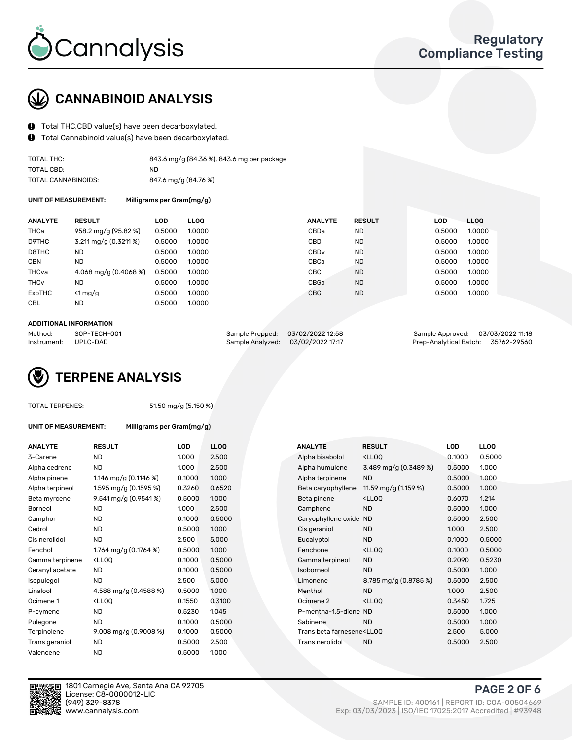

## CANNABINOID ANALYSIS

- Total THC,CBD value(s) have been decarboxylated.
- Total Cannabinoid value(s) have been decarboxylated.  $\mathbf{\Theta}$

| TOTAL THC:          | 843.6 mg/g (84.36 %), 843.6 mg per package |
|---------------------|--------------------------------------------|
| TOTAL CBD:          | ND.                                        |
| TOTAL CANNABINOIDS: | 847.6 mg/g (84.76 %)                       |

UNIT OF MEASUREMENT: Milligrams per Gram(mg/g)

| <b>ANALYTE</b>         | <b>RESULT</b>           | <b>LOD</b> | <b>LLOO</b> | <b>ANALYTE</b>   | <b>RESULT</b> | <b>LOD</b> | <b>LLOO</b> |
|------------------------|-------------------------|------------|-------------|------------------|---------------|------------|-------------|
| THCa                   | 958.2 mg/g (95.82 %)    | 0.5000     | 1.0000      | CBDa             | ND            | 0.5000     | 1.0000      |
| D9THC                  | 3.211 mg/g (0.3211 %)   | 0.5000     | 1.0000      | <b>CBD</b>       | <b>ND</b>     | 0.5000     | 1.0000      |
| D8THC                  | ND                      | 0.5000     | 1.0000      | CBD <sub>v</sub> | <b>ND</b>     | 0.5000     | 1.0000      |
| <b>CBN</b>             | <b>ND</b>               | 0.5000     | 1.0000      | CBCa             | <b>ND</b>     | 0.5000     | 1.0000      |
| THCva                  | 4.068 mg/g $(0.4068\%)$ | 0.5000     | 1.0000      | CBC              | <b>ND</b>     | 0.5000     | 1.0000      |
| <b>THC<sub>v</sub></b> | <b>ND</b>               | 0.5000     | 1.0000      | CBGa             | <b>ND</b>     | 0.5000     | 1.0000      |
| ExoTHC                 | $<$ 1 mg/g              | 0.5000     | 1.0000      | <b>CBG</b>       | <b>ND</b>     | 0.5000     | 1.0000      |
| <b>CBL</b>             | <b>ND</b>               | 0.5000     | 1.0000      |                  |               |            |             |
|                        |                         |            |             |                  |               |            |             |

#### ADDITIONAL INFORMATION

| Method:              | SOP-TECH-001 | Sample Prepped: 03/02/2022 12:58  | Sample Approved: 03/03/2022 11:18  |  |
|----------------------|--------------|-----------------------------------|------------------------------------|--|
| Instrument: UPLC-DAD |              | Sample Analyzed: 03/02/2022 17:17 | Prep-Analytical Batch: 35762-29560 |  |

## TERPENE ANALYSIS

| <b>TOTAL TERPENES:</b> |
|------------------------|
|------------------------|

51.50 mg/g (5.150 %)

UNIT OF MEASUREMENT: Milligrams per Gram(mg/g)

| <b>ANALYTE</b>  | <b>RESULT</b>                                                                                                                                       | <b>LOD</b> | <b>LLOQ</b> |  | <b>ANALYTE</b>                                                                  | <b>RESULT</b>                                      | <b>LOD</b> | <b>LLOQ</b> |
|-----------------|-----------------------------------------------------------------------------------------------------------------------------------------------------|------------|-------------|--|---------------------------------------------------------------------------------|----------------------------------------------------|------------|-------------|
| 3-Carene        | <b>ND</b>                                                                                                                                           | 1.000      | 2.500       |  | Alpha bisabolol                                                                 | <ll0q< td=""><td>0.1000</td><td>0.500</td></ll0q<> | 0.1000     | 0.500       |
| Alpha cedrene   | ND.                                                                                                                                                 | 1.000      | 2.500       |  | Alpha humulene                                                                  | 3.489 mg/g (0.3489 %)                              | 0.5000     | 1.000       |
| Alpha pinene    | 1.146 mg/g $(0.1146%)$                                                                                                                              | 0.1000     | 1.000       |  | Alpha terpinene                                                                 | <b>ND</b>                                          | 0.5000     | 1.000       |
| Alpha terpineol | 1.595 mg/g (0.1595 %)                                                                                                                               | 0.3260     | 0.6520      |  | Beta caryophyllene                                                              | 11.59 mg/g (1.159 %)                               | 0.5000     | 1.000       |
| Beta myrcene    | 9.541 mg/g (0.9541%)                                                                                                                                | 0.5000     | 1.000       |  | Beta pinene                                                                     | <ll0q< td=""><td>0.6070</td><td>1.214</td></ll0q<> | 0.6070     | 1.214       |
| Borneol         | <b>ND</b>                                                                                                                                           | 1.000      | 2.500       |  | Camphene                                                                        | <b>ND</b>                                          | 0.5000     | 1.000       |
| Camphor         | ND                                                                                                                                                  | 0.1000     | 0.5000      |  | Caryophyllene oxide                                                             | <b>ND</b>                                          | 0.5000     | 2.500       |
| Cedrol          | ND.                                                                                                                                                 | 0.5000     | 1.000       |  | Cis geraniol                                                                    | <b>ND</b>                                          | 1.000      | 2.500       |
| Cis nerolidol   | <b>ND</b>                                                                                                                                           | 2.500      | 5.000       |  | Eucalyptol                                                                      | <b>ND</b>                                          | 0.1000     | 0.500       |
| Fenchol         | 1.764 mg/g (0.1764 %)                                                                                                                               | 0.5000     | 1.000       |  | Fenchone                                                                        | <ll0q< td=""><td>0.1000</td><td>0.500</td></ll0q<> | 0.1000     | 0.500       |
| Gamma terpinene | <lloq< td=""><td>0.1000</td><td>0.5000</td><td></td><td>Gamma terpineol</td><td><b>ND</b></td><td>0.2090</td><td>0.523</td></lloq<>                 | 0.1000     | 0.5000      |  | Gamma terpineol                                                                 | <b>ND</b>                                          | 0.2090     | 0.523       |
| Geranyl acetate | <b>ND</b>                                                                                                                                           | 0.1000     | 0.5000      |  | Isoborneol                                                                      | <b>ND</b>                                          | 0.5000     | 1.000       |
| Isopulegol      | <b>ND</b>                                                                                                                                           | 2.500      | 5.000       |  | Limonene                                                                        | 8.785 mg/g (0.8785 %)                              | 0.5000     | 2.500       |
| Linalool        | 4.588 mg/g (0.4588 %)                                                                                                                               | 0.5000     | 1.000       |  | Menthol                                                                         | <b>ND</b>                                          | 1.000      | 2.500       |
| Ocimene 1       | <lloq< td=""><td>0.1550</td><td>0.3100</td><td></td><td>Ocimene<sub>2</sub></td><td><ll0q< td=""><td>0.3450</td><td>1.725</td></ll0q<></td></lloq<> | 0.1550     | 0.3100      |  | Ocimene <sub>2</sub>                                                            | <ll0q< td=""><td>0.3450</td><td>1.725</td></ll0q<> | 0.3450     | 1.725       |
| P-cymene        | ND.                                                                                                                                                 | 0.5230     | 1.045       |  | P-mentha-1,5-diene ND                                                           |                                                    | 0.5000     | 1.000       |
| Pulegone        | <b>ND</b>                                                                                                                                           | 0.1000     | 0.5000      |  | Sabinene                                                                        | <b>ND</b>                                          | 0.5000     | 1.000       |
| Terpinolene     | 9.008 mg/g (0.9008 %)                                                                                                                               | 0.1000     | 0.5000      |  | Trans beta farnesene <lloq< td=""><td></td><td>2.500</td><td>5.000</td></lloq<> |                                                    | 2.500      | 5.000       |
| Trans geraniol  | <b>ND</b>                                                                                                                                           | 0.5000     | 2.500       |  | Trans nerolidol                                                                 | <b>ND</b>                                          | 0.5000     | 2.500       |
| Valencene       | <b>ND</b>                                                                                                                                           | 0.5000     | 1.000       |  |                                                                                 |                                                    |            |             |

| ANALYTE         | <b>RESULT</b>                                                                                                                             | LOD    | <b>LLOQ</b> |  | ANALYTE                                                                         | <b>RESULT</b>                                       | LOD    | <b>LLOQ</b> |
|-----------------|-------------------------------------------------------------------------------------------------------------------------------------------|--------|-------------|--|---------------------------------------------------------------------------------|-----------------------------------------------------|--------|-------------|
| 3-Carene        | <b>ND</b>                                                                                                                                 | 1.000  | 2.500       |  | Alpha bisabolol                                                                 | <ll0q< td=""><td>0.1000</td><td>0.5000</td></ll0q<> | 0.1000 | 0.5000      |
| Alpha cedrene   | ND.                                                                                                                                       | 1.000  | 2.500       |  | Alpha humulene                                                                  | 3.489 mg/g (0.3489 %)                               | 0.5000 | 1.000       |
| Alpha pinene    | 1.146 mg/g $(0.1146%)$                                                                                                                    | 0.1000 | 1.000       |  | Alpha terpinene                                                                 | <b>ND</b>                                           | 0.5000 | 1.000       |
| Alpha terpineol | 1.595 mg/g $(0.1595\%)$                                                                                                                   | 0.3260 | 0.6520      |  | Beta caryophyllene                                                              | 11.59 mg/g (1.159 %)                                | 0.5000 | 1.000       |
| Beta myrcene    | 9.541 mg/g (0.9541%)                                                                                                                      | 0.5000 | 1.000       |  | Beta pinene                                                                     | <lloq< td=""><td>0.6070</td><td>1.214</td></lloq<>  | 0.6070 | 1.214       |
| Borneol         | <b>ND</b>                                                                                                                                 | 1.000  | 2.500       |  | Camphene                                                                        | <b>ND</b>                                           | 0.5000 | 1.000       |
| Camphor         | <b>ND</b>                                                                                                                                 | 0.1000 | 0.5000      |  | Caryophyllene oxide                                                             | <b>ND</b>                                           | 0.5000 | 2.500       |
| Cedrol          | <b>ND</b>                                                                                                                                 | 0.5000 | 1.000       |  | Cis geraniol                                                                    | <b>ND</b>                                           | 1.000  | 2.500       |
| Cis nerolidol   | <b>ND</b>                                                                                                                                 | 2.500  | 5.000       |  | Eucalyptol                                                                      | <b>ND</b>                                           | 0.1000 | 0.5000      |
| Fenchol         | 1.764 mg/g (0.1764 %)                                                                                                                     | 0.5000 | 1.000       |  | Fenchone                                                                        | <ll0q< td=""><td>0.1000</td><td>0.5000</td></ll0q<> | 0.1000 | 0.5000      |
| Gamma terpinene | <ll0q< td=""><td>0.1000</td><td>0.5000</td><td></td><td>Gamma terpineol</td><td><b>ND</b></td><td>0.2090</td><td>0.5230</td></ll0q<>      | 0.1000 | 0.5000      |  | Gamma terpineol                                                                 | <b>ND</b>                                           | 0.2090 | 0.5230      |
| Geranyl acetate | <b>ND</b>                                                                                                                                 | 0.1000 | 0.5000      |  | Isoborneol                                                                      | <b>ND</b>                                           | 0.5000 | 1.000       |
| Isopulegol      | <b>ND</b>                                                                                                                                 | 2.500  | 5.000       |  | Limonene                                                                        | 8.785 mg/g $(0.8785\%)$                             | 0.5000 | 2.500       |
| Linalool        | 4.588 mg/g (0.4588 %)                                                                                                                     | 0.5000 | 1.000       |  | Menthol                                                                         | <b>ND</b>                                           | 1.000  | 2.500       |
| Ocimene 1       | <lloq< td=""><td>0.1550</td><td>0.3100</td><td></td><td>Ocimene 2</td><td><ll0q< td=""><td>0.3450</td><td>1.725</td></ll0q<></td></lloq<> | 0.1550 | 0.3100      |  | Ocimene 2                                                                       | <ll0q< td=""><td>0.3450</td><td>1.725</td></ll0q<>  | 0.3450 | 1.725       |
| P-cymene        | <b>ND</b>                                                                                                                                 | 0.5230 | 1.045       |  | P-mentha-1,5-diene ND                                                           |                                                     | 0.5000 | 1.000       |
| Pulegone        | <b>ND</b>                                                                                                                                 | 0.1000 | 0.5000      |  | Sabinene                                                                        | <b>ND</b>                                           | 0.5000 | 1.000       |
| Terpinolene     | 9.008 mg/g $(0.9008\%)$                                                                                                                   | 0.1000 | 0.5000      |  | Trans beta farnesene <lloq< td=""><td></td><td>2.500</td><td>5.000</td></lloq<> |                                                     | 2.500  | 5.000       |
| Trans geraniol  | <b>ND</b>                                                                                                                                 | 0.5000 | 2.500       |  | Trans nerolidol                                                                 | <b>ND</b>                                           | 0.5000 | 2.500       |
|                 |                                                                                                                                           |        |             |  |                                                                                 |                                                     |        |             |



1801 Carnegie Ave, Santa Ana CA 92705 License: C8-0000012-LIC<br>(949) 329-8378

PAGE 2 OF 6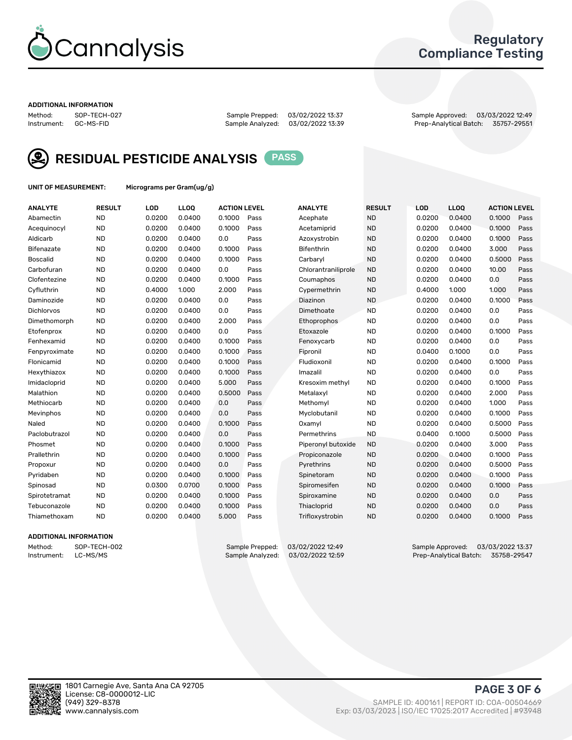

### Regulatory Compliance Testing

#### ADDITIONAL INFORMATION

Sample Analyzed: 03/02/2022 13:39

Method: SOP-TECH-027 Sample Prepped: 03/02/2022 13:37 Sample Approved: 03/03/2022 12:49



RESIDUAL PESTICIDE ANALYSIS PASS

UNIT OF MEASUREMENT: Micrograms per Gram(ug/g)

| <b>ANALYTE</b>    | <b>RESULT</b> | LOD    | LL <sub>OO</sub> | <b>ACTION LEVEL</b> |      | <b>ANALYTE</b>      | <b>RESULT</b> | <b>LOD</b> | <b>LLOQ</b> | <b>ACTION LEVEL</b> |      |
|-------------------|---------------|--------|------------------|---------------------|------|---------------------|---------------|------------|-------------|---------------------|------|
| Abamectin         | <b>ND</b>     | 0.0200 | 0.0400           | 0.1000              | Pass | Acephate            | <b>ND</b>     | 0.0200     | 0.0400      | 0.1000              | Pass |
| Acequinocyl       | <b>ND</b>     | 0.0200 | 0.0400           | 0.1000              | Pass | Acetamiprid         | <b>ND</b>     | 0.0200     | 0.0400      | 0.1000              | Pass |
| Aldicarb          | <b>ND</b>     | 0.0200 | 0.0400           | 0.0                 | Pass | Azoxystrobin        | <b>ND</b>     | 0.0200     | 0.0400      | 0.1000              | Pass |
| Bifenazate        | <b>ND</b>     | 0.0200 | 0.0400           | 0.1000              | Pass | <b>Bifenthrin</b>   | <b>ND</b>     | 0.0200     | 0.0400      | 3.000               | Pass |
| Boscalid          | <b>ND</b>     | 0.0200 | 0.0400           | 0.1000              | Pass | Carbarvl            | <b>ND</b>     | 0.0200     | 0.0400      | 0.5000              | Pass |
| Carbofuran        | <b>ND</b>     | 0.0200 | 0.0400           | 0.0                 | Pass | Chlorantraniliprole | <b>ND</b>     | 0.0200     | 0.0400      | 10.00               | Pass |
| Clofentezine      | <b>ND</b>     | 0.0200 | 0.0400           | 0.1000              | Pass | Coumaphos           | <b>ND</b>     | 0.0200     | 0.0400      | 0.0                 | Pass |
| Cyfluthrin        | <b>ND</b>     | 0.4000 | 1.000            | 2.000               | Pass | Cypermethrin        | <b>ND</b>     | 0.4000     | 1.000       | 1.000               | Pass |
| Daminozide        | <b>ND</b>     | 0.0200 | 0.0400           | 0.0                 | Pass | Diazinon            | <b>ND</b>     | 0.0200     | 0.0400      | 0.1000              | Pass |
| <b>Dichlorvos</b> | <b>ND</b>     | 0.0200 | 0.0400           | 0.0                 | Pass | Dimethoate          | <b>ND</b>     | 0.0200     | 0.0400      | 0.0                 | Pass |
| Dimethomorph      | <b>ND</b>     | 0.0200 | 0.0400           | 2.000               | Pass | <b>Ethoprophos</b>  | <b>ND</b>     | 0.0200     | 0.0400      | 0.0                 | Pass |
| Etofenprox        | <b>ND</b>     | 0.0200 | 0.0400           | 0.0                 | Pass | Etoxazole           | <b>ND</b>     | 0.0200     | 0.0400      | 0.1000              | Pass |
| Fenhexamid        | <b>ND</b>     | 0.0200 | 0.0400           | 0.1000              | Pass | Fenoxycarb          | <b>ND</b>     | 0.0200     | 0.0400      | 0.0                 | Pass |
| Fenpyroximate     | <b>ND</b>     | 0.0200 | 0.0400           | 0.1000              | Pass | Fipronil            | <b>ND</b>     | 0.0400     | 0.1000      | 0.0                 | Pass |
| Flonicamid        | <b>ND</b>     | 0.0200 | 0.0400           | 0.1000              | Pass | Fludioxonil         | <b>ND</b>     | 0.0200     | 0.0400      | 0.1000              | Pass |
| Hexythiazox       | <b>ND</b>     | 0.0200 | 0.0400           | 0.1000              | Pass | Imazalil            | <b>ND</b>     | 0.0200     | 0.0400      | 0.0                 | Pass |
| Imidacloprid      | <b>ND</b>     | 0.0200 | 0.0400           | 5.000               | Pass | Kresoxim methyl     | <b>ND</b>     | 0.0200     | 0.0400      | 0.1000              | Pass |
| Malathion         | <b>ND</b>     | 0.0200 | 0.0400           | 0.5000              | Pass | Metalaxyl           | <b>ND</b>     | 0.0200     | 0.0400      | 2.000               | Pass |
| Methiocarb        | <b>ND</b>     | 0.0200 | 0.0400           | 0.0                 | Pass | Methomyl            | <b>ND</b>     | 0.0200     | 0.0400      | 1.000               | Pass |
| Mevinphos         | <b>ND</b>     | 0.0200 | 0.0400           | 0.0                 | Pass | Myclobutanil        | <b>ND</b>     | 0.0200     | 0.0400      | 0.1000              | Pass |
| Naled             | <b>ND</b>     | 0.0200 | 0.0400           | 0.1000              | Pass | Oxamyl              | <b>ND</b>     | 0.0200     | 0.0400      | 0.5000              | Pass |
| Paclobutrazol     | <b>ND</b>     | 0.0200 | 0.0400           | 0.0                 | Pass | Permethrins         | <b>ND</b>     | 0.0400     | 0.1000      | 0.5000              | Pass |
| Phosmet           | <b>ND</b>     | 0.0200 | 0.0400           | 0.1000              | Pass | Piperonyl butoxide  | <b>ND</b>     | 0.0200     | 0.0400      | 3.000               | Pass |
| Prallethrin       | <b>ND</b>     | 0.0200 | 0.0400           | 0.1000              | Pass | Propiconazole       | <b>ND</b>     | 0.0200     | 0.0400      | 0.1000              | Pass |
| Propoxur          | <b>ND</b>     | 0.0200 | 0.0400           | 0.0                 | Pass | Pyrethrins          | <b>ND</b>     | 0.0200     | 0.0400      | 0.5000              | Pass |
| Pyridaben         | <b>ND</b>     | 0.0200 | 0.0400           | 0.1000              | Pass | Spinetoram          | <b>ND</b>     | 0.0200     | 0.0400      | 0.1000              | Pass |
| Spinosad          | <b>ND</b>     | 0.0300 | 0.0700           | 0.1000              | Pass | Spiromesifen        | <b>ND</b>     | 0.0200     | 0.0400      | 0.1000              | Pass |
| Spirotetramat     | <b>ND</b>     | 0.0200 | 0.0400           | 0.1000              | Pass | Spiroxamine         | <b>ND</b>     | 0.0200     | 0.0400      | 0.0                 | Pass |
| Tebuconazole      | <b>ND</b>     | 0.0200 | 0.0400           | 0.1000              | Pass | Thiacloprid         | <b>ND</b>     | 0.0200     | 0.0400      | 0.0                 | Pass |
| Thiamethoxam      | <b>ND</b>     | 0.0200 | 0.0400           | 5.000               | Pass | Trifloxystrobin     | <b>ND</b>     | 0.0200     | 0.0400      | 0.1000              | Pass |

#### ADDITIONAL INFORMATION

Method: SOP-TECH-002 Sample Prepped: 03/02/2022 12:49 Sample Approved: 03/03/2022 13:37<br>Sample Analyzed: 03/02/2022 12:59 Prep-Analytical Batch: 35758-29547 Prep-Analytical Batch: 35758-29547

PAGE 3 OF 6

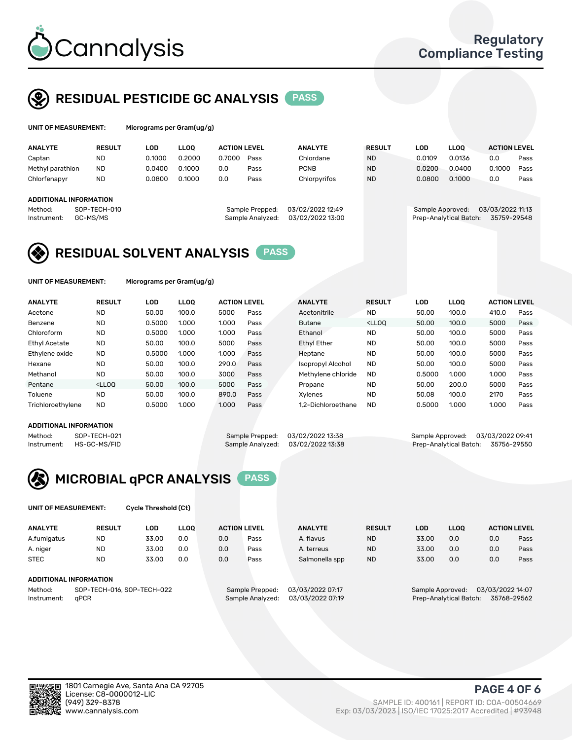

UNIT OF MEASUREMENT: Micrograms per Gram(ug/g)

## RESIDUAL PESTICIDE GC ANALYSIS PASS

| <b>ANALYTE</b>         | <b>RESULT</b>            | LOD    | <b>LLOO</b> | <b>ACTION LEVEL</b> |                                     | <b>ANALYTE</b>                       | <b>RESULT</b> | LOD              | <b>LLOO</b>            | <b>ACTION LEVEL</b>             |      |
|------------------------|--------------------------|--------|-------------|---------------------|-------------------------------------|--------------------------------------|---------------|------------------|------------------------|---------------------------------|------|
| Captan                 | <b>ND</b>                | 0.1000 | 0.2000      | 0.7000              | Pass                                | Chlordane                            | <b>ND</b>     | 0.0109           | 0.0136                 | 0.0                             | Pass |
| Methyl parathion       | <b>ND</b>                | 0.0400 | 0.1000      | 0.0                 | Pass                                | <b>PCNB</b>                          | <b>ND</b>     | 0.0200           | 0.0400                 | 0.1000                          | Pass |
| Chlorfenapyr           | <b>ND</b>                | 0.0800 | 0.1000      | 0.0                 | Pass                                | Chlorpyrifos                         | <b>ND</b>     | 0.0800           | 0.1000                 | 0.0                             | Pass |
| ADDITIONAL INFORMATION |                          |        |             |                     |                                     |                                      |               |                  |                        |                                 |      |
| Method:<br>Instrument: | SOP-TECH-010<br>GC-MS/MS |        |             |                     | Sample Prepped:<br>Sample Analyzed: | 03/02/2022 12:49<br>03/02/2022 13:00 |               | Sample Approved: | Prep-Analytical Batch: | 03/03/2022 11:13<br>35759-29548 |      |

## 03/03/2022 11:13

## RESIDUAL SOLVENT ANALYSIS **PASS**

UNIT OF MEASUREMENT: Micrograms per Gram(ug/g)

| <b>ANALYTE</b>    | <b>RESULT</b>                                                                                                                                                       | LOD    | <b>LLOO</b> | <b>ACTION LEVEL</b> |      | <b>ANALYTE</b>           | <b>RESULT</b>                                                               | <b>LOD</b> | <b>LLOO</b> | <b>ACTION LEVEL</b> |      |
|-------------------|---------------------------------------------------------------------------------------------------------------------------------------------------------------------|--------|-------------|---------------------|------|--------------------------|-----------------------------------------------------------------------------|------------|-------------|---------------------|------|
| Acetone           | <b>ND</b>                                                                                                                                                           | 50.00  | 100.0       | 5000                | Pass | Acetonitrile             | <b>ND</b>                                                                   | 50.00      | 100.0       | 410.0               | Pass |
| Benzene           | <b>ND</b>                                                                                                                                                           | 0.5000 | 1.000       | 1.000               | Pass | <b>Butane</b>            | <lloo< td=""><td>50.00</td><td>100.0</td><td>5000</td><td>Pass</td></lloo<> | 50.00      | 100.0       | 5000                | Pass |
| Chloroform        | <b>ND</b>                                                                                                                                                           | 0.5000 | 1.000       | 1.000               | Pass | Ethanol                  | <b>ND</b>                                                                   | 50.00      | 100.0       | 5000                | Pass |
| Ethyl Acetate     | <b>ND</b>                                                                                                                                                           | 50.00  | 100.0       | 5000                | Pass | <b>Ethyl Ether</b>       | <b>ND</b>                                                                   | 50.00      | 100.0       | 5000                | Pass |
| Ethylene oxide    | <b>ND</b>                                                                                                                                                           | 0.5000 | 1.000       | 1.000               | Pass | Heptane                  | <b>ND</b>                                                                   | 50.00      | 100.0       | 5000                | Pass |
| Hexane            | <b>ND</b>                                                                                                                                                           | 50.00  | 100.0       | 290.0               | Pass | <b>Isopropyl Alcohol</b> | <b>ND</b>                                                                   | 50.00      | 100.0       | 5000                | Pass |
| Methanol          | <b>ND</b>                                                                                                                                                           | 50.00  | 100.0       | 3000                | Pass | Methylene chloride       | <b>ND</b>                                                                   | 0.5000     | 1.000       | 1.000               | Pass |
| Pentane           | <lloo< td=""><td>50.00</td><td>100.0</td><td>5000</td><td>Pass</td><td>Propane</td><td><b>ND</b></td><td>50.00</td><td>200.0</td><td>5000</td><td>Pass</td></lloo<> | 50.00  | 100.0       | 5000                | Pass | Propane                  | <b>ND</b>                                                                   | 50.00      | 200.0       | 5000                | Pass |
| Toluene           | <b>ND</b>                                                                                                                                                           | 50.00  | 100.0       | 890.0               | Pass | Xvlenes                  | <b>ND</b>                                                                   | 50.08      | 100.0       | 2170                | Pass |
| Trichloroethylene | <b>ND</b>                                                                                                                                                           | 0.5000 | 1.000       | 1.000               | Pass | 1.2-Dichloroethane       | <b>ND</b>                                                                   | 0.5000     | 1.000       | 1.000               | Pass |
|                   |                                                                                                                                                                     |        |             |                     |      |                          |                                                                             |            |             |                     |      |

#### ADDITIONAL INFORMATION

Method: SOP-TECH-021 Sample Prepped: 03/02/2022 13:38 Sample Approved: 03/03/2022 13:38<br>Sample Analyzed: 03/02/2022 13:38 Prep-Analytical Batch: 35756-29550

Prep-Analytical Batch: 35756-29550



UNIT OF MEASUREMENT: Cycle Threshold (Ct)

| <b>ANALYTE</b> | <b>RESULT</b>              | LOD   | <b>LLOO</b> |     | <b>ACTION LEVEL</b> | <b>ANALYTE</b>   | <b>RESULT</b> | LOD              | <b>LLOO</b>            |                  | <b>ACTION LEVEL</b> |
|----------------|----------------------------|-------|-------------|-----|---------------------|------------------|---------------|------------------|------------------------|------------------|---------------------|
| A.fumigatus    | <b>ND</b>                  | 33.00 | 0.0         | 0.0 | Pass                | A. flavus        | <b>ND</b>     | 33.00            | 0.0                    | 0.0              | Pass                |
| A. niger       | <b>ND</b>                  | 33.00 | 0.0         | 0.0 | Pass                | A. terreus       | <b>ND</b>     | 33.00            | 0.0                    | 0.0              | Pass                |
| <b>STEC</b>    | <b>ND</b>                  | 33.00 | 0.0         | 0.0 | Pass                | Salmonella spp   | <b>ND</b>     | 33.00            | 0.0                    | 0.0              | Pass                |
|                | ADDITIONAL INFORMATION     |       |             |     |                     |                  |               |                  |                        |                  |                     |
| Method:        | SOP-TECH-016, SOP-TECH-022 |       |             |     | Sample Prepped:     | 03/03/2022 07:17 |               | Sample Approved: |                        | 03/03/2022 14:07 |                     |
| Instrument:    | aPCR                       |       |             |     | Sample Analyzed:    | 03/03/2022 07:19 |               |                  | Prep-Analytical Batch: |                  | 35768-29562         |

ान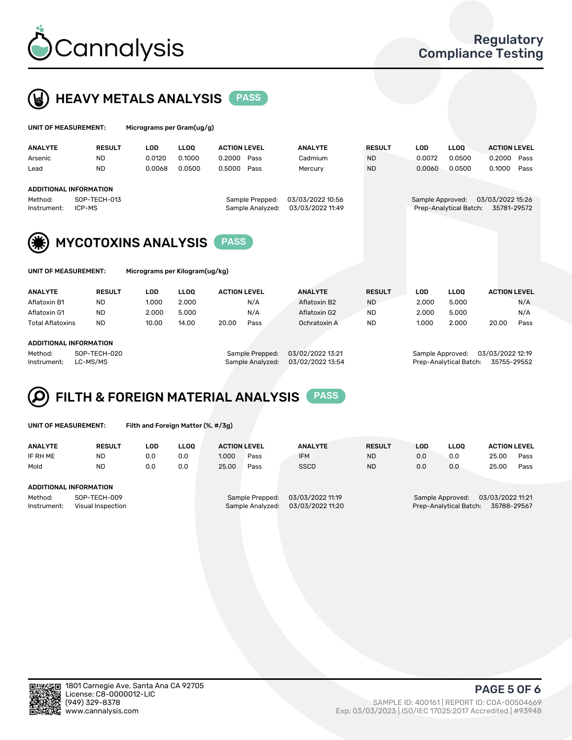



|                  | UNIT OF MEASUREMENT:          |            | Micrograms per Gram(ug/g) |                     |                  |               |                  |                        |                     |      |  |  |
|------------------|-------------------------------|------------|---------------------------|---------------------|------------------|---------------|------------------|------------------------|---------------------|------|--|--|
| <b>ANALYTE</b>   | <b>RESULT</b>                 | <b>LOD</b> | <b>LLOO</b>               | <b>ACTION LEVEL</b> | <b>ANALYTE</b>   | <b>RESULT</b> | <b>LOD</b>       | <b>LLOO</b>            | <b>ACTION LEVEL</b> |      |  |  |
| Arsenic          | <b>ND</b>                     | 0.0120     | 0.1000                    | 0.2000<br>Pass      | Cadmium          | <b>ND</b>     | 0.0072           | 0.0500                 | 0.2000              | Pass |  |  |
| Lead             | <b>ND</b>                     | 0.0068     | 0.0500                    | 0.5000<br>Pass      | Mercury          | <b>ND</b>     | 0.0060           | 0.0500                 | 0.1000              | Pass |  |  |
|                  | ADDITIONAL INFORMATION        |            |                           |                     |                  |               |                  |                        |                     |      |  |  |
| Method:          | SOP-TECH-013                  |            |                           | Sample Prepped:     | 03/03/2022 10:56 |               | Sample Approved: |                        | 03/03/2022 15:26    |      |  |  |
| Instrument:      | ICP-MS                        |            |                           | Sample Analyzed:    | 03/03/2022 11:49 |               |                  | Prep-Analytical Batch: | 35781-29572         |      |  |  |
| $\sum_{i=1}^{n}$ | <b>MVCOTOVINIC ANIAL VOIC</b> |            |                           | <b>DACC</b>         |                  |               |                  |                        |                     |      |  |  |





MYCOTOXINS ANALYSIS PASS

| UNIT OF MEASUREMENT: |
|----------------------|
|----------------------|

Micrograms per Kilogram(ug/kg)

| <b>ANALYTE</b>          | <b>RESULT</b> | LOD   | <b>LLOO</b> | <b>ACTION LEVEL</b> |      | <b>ANALYTE</b> | <b>RESULT</b> | LOD   | <b>LLOO</b> | <b>ACTION LEVEL</b> |      |
|-------------------------|---------------|-------|-------------|---------------------|------|----------------|---------------|-------|-------------|---------------------|------|
| Aflatoxin B1            | <b>ND</b>     | 1.000 | 2.000       |                     | N/A  | Aflatoxin B2   | <b>ND</b>     | 2.000 | 5.000       |                     | N/A  |
| Aflatoxin G1            | <b>ND</b>     | 2.000 | 5.000       |                     | N/A  | Aflatoxin G2   | <b>ND</b>     | 2.000 | 5.000       |                     | N/A  |
| <b>Total Aflatoxins</b> | <b>ND</b>     | 10.00 | 14.00       | 20.00               | Pass | Ochratoxin A   | <b>ND</b>     | 1.000 | 2.000       | 20.00               | Pass |
|                         |               |       |             |                     |      |                |               |       |             |                     |      |

#### ADDITIONAL INFORMATION

Method: SOP-TECH-020 Sample Prepped: 03/02/2022 13:21 Sample Approved: 03/03/2022 12:19 Instrument: LC-MS/MS Sample Analyzed: 03/02/2022 13:54 Prep-Analytical Batch: 35755-29552

# FILTH & FOREIGN MATERIAL ANALYSIS PASS

UNIT OF MEASUREMENT: Filth and Foreign Matter (%, #/3g)

| <b>ANALYTE</b>         | <b>RESULT</b>                     | LOD | <b>LLOO</b> | <b>ACTION LEVEL</b> |                                     | <b>ANALYTE</b>                       | <b>RESULT</b> | LOD | <b>LLOO</b>                                | <b>ACTION LEVEL</b>             |      |
|------------------------|-----------------------------------|-----|-------------|---------------------|-------------------------------------|--------------------------------------|---------------|-----|--------------------------------------------|---------------------------------|------|
| IF RH ME               | ND                                | 0.0 | 0.0         | 1.000               | Pass                                | <b>IFM</b>                           | <b>ND</b>     | 0.0 | 0.0                                        | 25.00                           | Pass |
| Mold                   | <b>ND</b>                         | 0.0 | 0.0         | 25.00               | Pass                                | <b>SSCD</b>                          | <b>ND</b>     | 0.0 | 0.0                                        | 25.00                           | Pass |
| ADDITIONAL INFORMATION |                                   |     |             |                     |                                     |                                      |               |     |                                            |                                 |      |
| Method:<br>Instrument: | SOP-TECH-009<br>Visual Inspection |     |             |                     | Sample Prepped:<br>Sample Analyzed: | 03/03/2022 11:19<br>03/03/2022 11:20 |               |     | Sample Approved:<br>Prep-Analytical Batch: | 03/03/2022 11:21<br>35788-29567 |      |